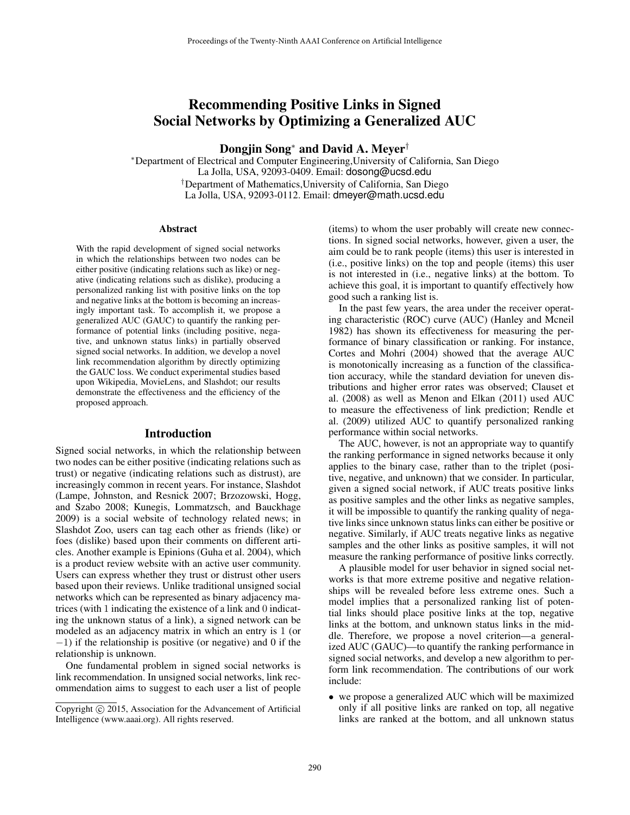# Recommending Positive Links in Signed Social Networks by Optimizing a Generalized AUC

Dongiin Song<sup>∗</sup> and David A. Meyer<sup>†</sup>

<sup>∗</sup>Department of Electrical and Computer Engineering,University of California, San Diego La Jolla, USA, 92093-0409. Email: dosong@ucsd.edu †Department of Mathematics,University of California, San Diego La Jolla, USA, 92093-0112. Email: dmeyer@math.ucsd.edu

#### Abstract

With the rapid development of signed social networks in which the relationships between two nodes can be either positive (indicating relations such as like) or negative (indicating relations such as dislike), producing a personalized ranking list with positive links on the top and negative links at the bottom is becoming an increasingly important task. To accomplish it, we propose a generalized AUC (GAUC) to quantify the ranking performance of potential links (including positive, negative, and unknown status links) in partially observed signed social networks. In addition, we develop a novel link recommendation algorithm by directly optimizing the GAUC loss. We conduct experimental studies based upon Wikipedia, MovieLens, and Slashdot; our results demonstrate the effectiveness and the efficiency of the proposed approach.

#### Introduction

Signed social networks, in which the relationship between two nodes can be either positive (indicating relations such as trust) or negative (indicating relations such as distrust), are increasingly common in recent years. For instance, Slashdot (Lampe, Johnston, and Resnick 2007; Brzozowski, Hogg, and Szabo 2008; Kunegis, Lommatzsch, and Bauckhage 2009) is a social website of technology related news; in Slashdot Zoo, users can tag each other as friends (like) or foes (dislike) based upon their comments on different articles. Another example is Epinions (Guha et al. 2004), which is a product review website with an active user community. Users can express whether they trust or distrust other users based upon their reviews. Unlike traditional unsigned social networks which can be represented as binary adjacency matrices (with 1 indicating the existence of a link and 0 indicating the unknown status of a link), a signed network can be modeled as an adjacency matrix in which an entry is 1 (or −1) if the relationship is positive (or negative) and 0 if the relationship is unknown.

One fundamental problem in signed social networks is link recommendation. In unsigned social networks, link recommendation aims to suggest to each user a list of people

(items) to whom the user probably will create new connections. In signed social networks, however, given a user, the aim could be to rank people (items) this user is interested in (i.e., positive links) on the top and people (items) this user is not interested in (i.e., negative links) at the bottom. To achieve this goal, it is important to quantify effectively how good such a ranking list is.

In the past few years, the area under the receiver operating characteristic (ROC) curve (AUC) (Hanley and Mcneil 1982) has shown its effectiveness for measuring the performance of binary classification or ranking. For instance, Cortes and Mohri (2004) showed that the average AUC is monotonically increasing as a function of the classification accuracy, while the standard deviation for uneven distributions and higher error rates was observed; Clauset et al. (2008) as well as Menon and Elkan (2011) used AUC to measure the effectiveness of link prediction; Rendle et al. (2009) utilized AUC to quantify personalized ranking performance within social networks.

The AUC, however, is not an appropriate way to quantify the ranking performance in signed networks because it only applies to the binary case, rather than to the triplet (positive, negative, and unknown) that we consider. In particular, given a signed social network, if AUC treats positive links as positive samples and the other links as negative samples, it will be impossible to quantify the ranking quality of negative links since unknown status links can either be positive or negative. Similarly, if AUC treats negative links as negative samples and the other links as positive samples, it will not measure the ranking performance of positive links correctly.

A plausible model for user behavior in signed social networks is that more extreme positive and negative relationships will be revealed before less extreme ones. Such a model implies that a personalized ranking list of potential links should place positive links at the top, negative links at the bottom, and unknown status links in the middle. Therefore, we propose a novel criterion—a generalized AUC (GAUC)—to quantify the ranking performance in signed social networks, and develop a new algorithm to perform link recommendation. The contributions of our work include:

• we propose a generalized AUC which will be maximized only if all positive links are ranked on top, all negative links are ranked at the bottom, and all unknown status

Copyright © 2015, Association for the Advancement of Artificial Intelligence (www.aaai.org). All rights reserved.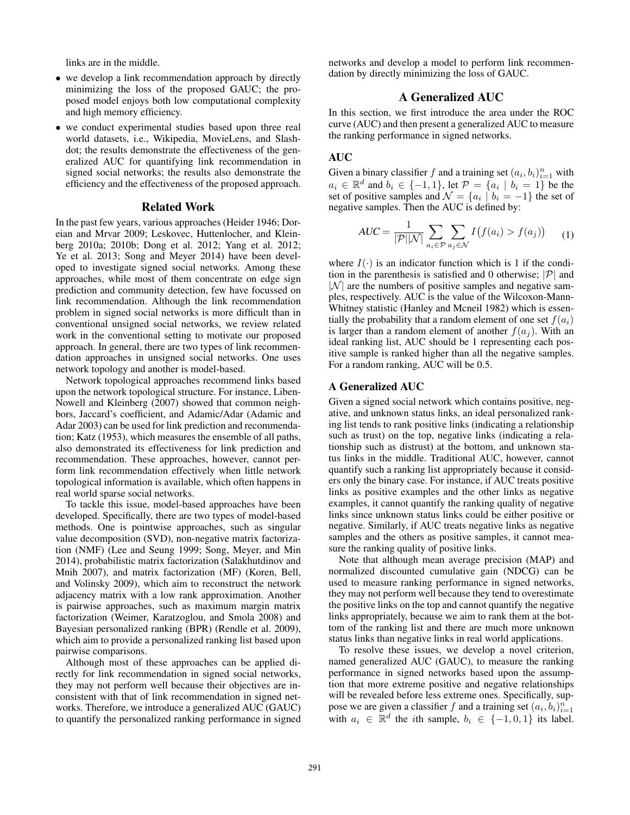links are in the middle.

- we develop a link recommendation approach by directly minimizing the loss of the proposed GAUC; the proposed model enjoys both low computational complexity and high memory efficiency.
- we conduct experimental studies based upon three real world datasets, i.e., Wikipedia, MovieLens, and Slashdot; the results demonstrate the effectiveness of the generalized AUC for quantifying link recommendation in signed social networks; the results also demonstrate the efficiency and the effectiveness of the proposed approach.

#### Related Work

In the past few years, various approaches (Heider 1946; Doreian and Mrvar 2009; Leskovec, Huttenlocher, and Kleinberg 2010a; 2010b; Dong et al. 2012; Yang et al. 2012; Ye et al. 2013; Song and Meyer 2014) have been developed to investigate signed social networks. Among these approaches, while most of them concentrate on edge sign prediction and community detection, few have focussed on link recommendation. Although the link recommendation problem in signed social networks is more difficult than in conventional unsigned social networks, we review related work in the conventional setting to motivate our proposed approach. In general, there are two types of link recommendation approaches in unsigned social networks. One uses network topology and another is model-based.

Network topological approaches recommend links based upon the network topological structure. For instance, Liben-Nowell and Kleinberg (2007) showed that common neighbors, Jaccard's coefficient, and Adamic/Adar (Adamic and Adar 2003) can be used for link prediction and recommendation; Katz (1953), which measures the ensemble of all paths, also demonstrated its effectiveness for link prediction and recommendation. These approaches, however, cannot perform link recommendation effectively when little network topological information is available, which often happens in real world sparse social networks.

To tackle this issue, model-based approaches have been developed. Specifically, there are two types of model-based methods. One is pointwise approaches, such as singular value decomposition (SVD), non-negative matrix factorization (NMF) (Lee and Seung 1999; Song, Meyer, and Min 2014), probabilistic matrix factorization (Salakhutdinov and Mnih 2007), and matrix factorization (MF) (Koren, Bell, and Volinsky 2009), which aim to reconstruct the network adjacency matrix with a low rank approximation. Another is pairwise approaches, such as maximum margin matrix factorization (Weimer, Karatzoglou, and Smola 2008) and Bayesian personalized ranking (BPR) (Rendle et al. 2009), which aim to provide a personalized ranking list based upon pairwise comparisons.

Although most of these approaches can be applied directly for link recommendation in signed social networks, they may not perform well because their objectives are inconsistent with that of link recommendation in signed networks. Therefore, we introduce a generalized AUC (GAUC) to quantify the personalized ranking performance in signed

networks and develop a model to perform link recommendation by directly minimizing the loss of GAUC.

# A Generalized AUC

In this section, we first introduce the area under the ROC curve (AUC) and then present a generalized AUC to measure the ranking performance in signed networks.

## AUC

Given a binary classifier f and a training set  $(a_i, b_i)_{i=1}^n$  with  $a_i \in \mathbb{R}^d$  and  $b_i \in \{-1, 1\}$ , let  $\mathcal{P} = \{a_i \mid b_i = 1\}$  be the set of positive samples and  $\mathcal{N} = \{a_i \mid b_i = -1\}$  the set of negative samples. Then the AUC is defined by:

$$
AUC = \frac{1}{|\mathcal{P}||\mathcal{N}|} \sum_{a_i \in \mathcal{P}} \sum_{a_j \in \mathcal{N}} I(f(a_i) > f(a_j)) \tag{1}
$$

where  $I(\cdot)$  is an indicator function which is 1 if the condition in the parenthesis is satisfied and 0 otherwise;  $|\mathcal{P}|$  and  $|N|$  are the numbers of positive samples and negative samples, respectively. AUC is the value of the Wilcoxon-Mann-Whitney statistic (Hanley and Mcneil 1982) which is essentially the probability that a random element of one set  $f(a_i)$ is larger than a random element of another  $f(a_i)$ . With an ideal ranking list, AUC should be 1 representing each positive sample is ranked higher than all the negative samples. For a random ranking, AUC will be 0.5.

# A Generalized AUC

Given a signed social network which contains positive, negative, and unknown status links, an ideal personalized ranking list tends to rank positive links (indicating a relationship such as trust) on the top, negative links (indicating a relationship such as distrust) at the bottom, and unknown status links in the middle. Traditional AUC, however, cannot quantify such a ranking list appropriately because it considers only the binary case. For instance, if AUC treats positive links as positive examples and the other links as negative examples, it cannot quantify the ranking quality of negative links since unknown status links could be either positive or negative. Similarly, if AUC treats negative links as negative samples and the others as positive samples, it cannot measure the ranking quality of positive links.

Note that although mean average precision (MAP) and normalized discounted cumulative gain (NDCG) can be used to measure ranking performance in signed networks, they may not perform well because they tend to overestimate the positive links on the top and cannot quantify the negative links appropriately, because we aim to rank them at the bottom of the ranking list and there are much more unknown status links than negative links in real world applications.

To resolve these issues, we develop a novel criterion, named generalized AUC (GAUC), to measure the ranking performance in signed networks based upon the assumption that more extreme positive and negative relationships will be revealed before less extreme ones. Specifically, suppose we are given a classifier f and a training set  $(a_i, b_i)_{i=1}^n$ with  $a_i \in \mathbb{R}^d$  the *i*th sample,  $b_i \in \{-1,0,1\}$  its label.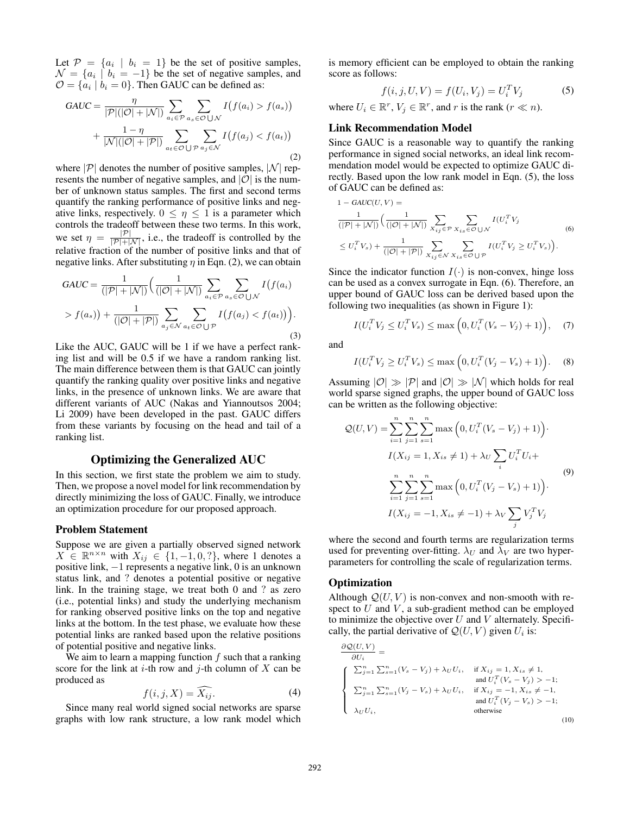Let  $\mathcal{P} = \{a_i \mid b_i = 1\}$  be the set of positive samples,  $\mathcal{N} = \{a_i \mid b_i = -1\}$  be the set of negative samples, and  $\mathcal{O} = \{a_i \mid b_i = 0\}$ . Then GAUC can be defined as:

$$
GAUC = \frac{\eta}{|\mathcal{P}|(|\mathcal{O}| + |\mathcal{N}|)} \sum_{a_i \in \mathcal{P}} \sum_{a_s \in \mathcal{O} \cup \mathcal{N}} I(f(a_i) > f(a_s)) + \frac{1 - \eta}{|\mathcal{N}|(|\mathcal{O}| + |\mathcal{P}|)} \sum_{a_t \in \mathcal{O} \cup \mathcal{P}} \sum_{a_j \in \mathcal{N}} I(f(a_j) < f(a_t)) \tag{2}
$$

where  $|\mathcal{P}|$  denotes the number of positive samples,  $|\mathcal{N}|$  represents the number of negative samples, and  $|O|$  is the number of unknown status samples. The first and second terms quantify the ranking performance of positive links and negative links, respectively.  $0 \leq \eta \leq 1$  is a parameter which controls the tradeoff between these two terms. In this work, we set  $\eta = \frac{|\mathcal{P}|}{|\mathcal{P}| + |\mathcal{N}|}$ , i.e., the tradeoff is controlled by the relative fraction of the number of positive links and that of negative links. After substituting  $\eta$  in Eqn. (2), we can obtain

$$
GAUC = \frac{1}{(|\mathcal{P}| + |\mathcal{N}|)} \Big( \frac{1}{(|\mathcal{O}| + |\mathcal{N}|)} \sum_{a_i \in \mathcal{P}} \sum_{a_s \in \mathcal{O} \cup \mathcal{N}} I(f(a_i) \times f(a_s)) + \frac{1}{(|\mathcal{O}| + |\mathcal{P}|)} \sum_{a_j \in \mathcal{N}} \sum_{a_t \in \mathcal{O} \cup \mathcal{P}} I(f(a_j) < f(a_t)) \Big). \tag{3}
$$

Like the AUC, GAUC will be 1 if we have a perfect ranking list and will be 0.5 if we have a random ranking list. The main difference between them is that GAUC can jointly quantify the ranking quality over positive links and negative links, in the presence of unknown links. We are aware that different variants of AUC (Nakas and Yiannoutsos 2004; Li 2009) have been developed in the past. GAUC differs from these variants by focusing on the head and tail of a ranking list.

# Optimizing the Generalized AUC

In this section, we first state the problem we aim to study. Then, we propose a novel model for link recommendation by directly minimizing the loss of GAUC. Finally, we introduce an optimization procedure for our proposed approach.

#### Problem Statement

Suppose we are given a partially observed signed network  $X \in \mathbb{R}^{n \times n}$  with  $X_{ij} \in \{1, -1, 0, ?\}$ , where 1 denotes a positive link, −1 represents a negative link, 0 is an unknown status link, and ? denotes a potential positive or negative link. In the training stage, we treat both 0 and ? as zero (i.e., potential links) and study the underlying mechanism for ranking observed positive links on the top and negative links at the bottom. In the test phase, we evaluate how these potential links are ranked based upon the relative positions of potential positive and negative links.

We aim to learn a mapping function  $f$  such that a ranking score for the link at *i*-th row and *j*-th column of  $X$  can be produced as

$$
f(i, j, X) = \widehat{X_{ij}}.\tag{4}
$$

Since many real world signed social networks are sparse graphs with low rank structure, a low rank model which

is memory efficient can be employed to obtain the ranking score as follows:

$$
f(i, j, U, V) = f(U_i, V_j) = U_i^T V_j
$$
 (5)

where  $U_i \in \mathbb{R}^r$ ,  $V_j \in \mathbb{R}^r$ , and r is the rank  $(r \ll n)$ .

#### Link Recommendation Model

Since GAUC is a reasonable way to quantify the ranking performance in signed social networks, an ideal link recommendation model would be expected to optimize GAUC directly. Based upon the low rank model in Eqn. (5), the loss of GAUC can be defined as:

$$
1 - \text{GAUC}(U, V) =
$$
  
\n
$$
\frac{1}{(|\mathcal{P}| + |\mathcal{N}|)} \left( \frac{1}{(|\mathcal{O}| + |\mathcal{N}|)} \sum_{X_{ij} \in \mathcal{P}} \sum_{X_{is} \in \mathcal{O} \cup \mathcal{N}} I(U_i^T V_j \right)
$$
  
\n
$$
\leq U_i^T V_s + \frac{1}{(|\mathcal{O}| + |\mathcal{P}|)} \sum_{X_{ij} \in \mathcal{N}} \sum_{X_{is} \in \mathcal{O} \cup \mathcal{P}} I(U_i^T V_j \geq U_i^T V_s).
$$
\n(6)

Since the indicator function  $I(\cdot)$  is non-convex, hinge loss can be used as a convex surrogate in Eqn. (6). Therefore, an upper bound of GAUC loss can be derived based upon the following two inequalities (as shown in Figure 1):

$$
I(U_i^T V_j \le U_i^T V_s) \le \max\left(0, U_i^T (V_s - V_j) + 1)\right), \quad (7)
$$

and

$$
I(U_i^T V_j \ge U_i^T V_s) \le \max\left(0, U_i^T (V_j - V_s) + 1)\right).
$$
 (8)

Assuming  $|0| \gg |\mathcal{P}|$  and  $|0| \gg |\mathcal{N}|$  which holds for real world sparse signed graphs, the upper bound of GAUC loss can be written as the following objective:

$$
Q(U, V) = \sum_{i=1}^{n} \sum_{j=1}^{n} \sum_{s=1}^{n} \max (0, U_i^T (V_s - V_j) + 1)).
$$
  
\n
$$
I(X_{ij} = 1, X_{is} \neq 1) + \lambda_U \sum_i U_i^T U_i +
$$
  
\n
$$
\sum_{i=1}^{n} \sum_{j=1}^{n} \sum_{s=1}^{n} \max (0, U_i^T (V_j - V_s) + 1)).
$$
  
\n
$$
I(X_{ij} = -1, X_{is} \neq -1) + \lambda_V \sum_j V_j^T V_j
$$
 (9)

where the second and fourth terms are regularization terms used for preventing over-fitting.  $\lambda_U$  and  $\lambda_V$  are two hyperparameters for controlling the scale of regularization terms.

## **Optimization**

Although  $Q(U, V)$  is non-convex and non-smooth with respect to  $U$  and  $V$ , a sub-gradient method can be employed to minimize the objective over  $U$  and  $V$  alternately. Specifically, the partial derivative of  $\mathcal{Q}(U, V)$  given  $U_i$  is:

$$
\frac{\partial \mathcal{Q}(U, V)}{\partial U_i} = \n\begin{cases}\n\sum_{j=1}^{n} \sum_{s=1}^{n} (V_s - V_j) + \lambda_U U_i, & \text{if } X_{ij} = 1, X_{is} \neq 1, \\
\text{and } U_i^T (V_s - V_j) > -1; \\
\sum_{j=1}^{n} \sum_{s=1}^{n} (V_j - V_s) + \lambda_U U_i, & \text{if } X_{ij} = -1, X_{is} \neq -1, \\
\text{and } U_i^T (V_j - V_s) > -1; \\
\text{and } U_i^T (V_j - V_s) > -1;\n\end{cases}
$$
\n(10)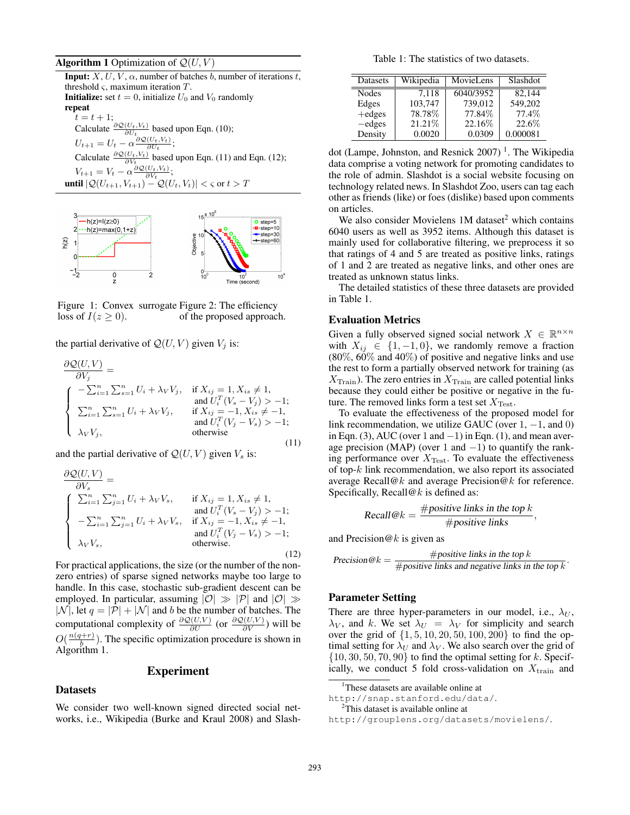**Algorithm 1** Optimization of  $Q(U, V)$ 

**Input:**  $X, U, V, \alpha$ , number of batches b, number of iterations t, threshold  $\varsigma$ , maximum iteration  $T$ . **Initialize:** set  $t = 0$ , initialize  $U_0$  and  $V_0$  randomly repeat  $t = t + 1;$ Calculate  $\frac{\partial \mathcal{Q}(U_t, V_t)}{\partial U_t}$  based upon Eqn. (10);  $\partial U_t$  $U_{t+1} = U_t - \alpha \frac{\partial \mathcal{Q}(U_t, V_t)}{\partial U_t};$ Calculate  $\frac{\partial \mathcal{Q}(U_t, V_t)}{\partial V_t}$  based upon Eqn. (11) and Eqn. (12);  $\partial V_t$  $V_{t+1} = V_t - \alpha \frac{\partial \mathcal{Q}(U_t, V_t)}{\partial V_t};$ **until**  $|\mathcal{Q}(U_{t+1}, V_{t+1}) - \mathcal{Q}(U_t, V_t)| < \varsigma$  or  $t > T$ 



Figure 1: Convex surrogate Figure 2: The efficiency loss of  $I(z \geq 0)$ . of the proposed approach.

the partial derivative of  $\mathcal{Q}(U, V)$  given  $V_j$  is:

$$
\frac{\partial \mathcal{Q}(U,V)}{\partial V_j} = \n\begin{cases}\n-\sum_{i=1}^{n} \sum_{s=1}^{n} U_i + \lambda_V V_j, & \text{if } X_{ij} = 1, X_{is} \neq 1, \\
\sum_{i=1}^{n} \sum_{s=1}^{n} U_i + \lambda_V V_j, & \text{if } X_{ij} = -1, X_{is} \neq -1, \\
\lambda_V V_j, & \text{if } X_{ij} = -1, X_{is} \neq -1, \\
\lambda_V V_j, & \text{otherwise}\n\end{cases}
$$
\n(11)

and the partial derivative of  $Q(U, V)$  given  $V_s$  is:

$$
\frac{\partial \mathcal{Q}(U,V)}{\partial V_s} = \n\begin{cases}\n\sum_{i=1}^{n} \sum_{j=1}^{n} U_i + \lambda_V V_s, & \text{if } X_{ij} = 1, X_{is} \neq 1, \\
-\sum_{i=1}^{n} \sum_{j=1}^{n} U_i + \lambda_V V_s, & \text{if } X_{ij} = -1, X_{is} \neq -1, \\
-\lambda_V V_s, & \text{and } U_i^T (V_j - V_s) > -1; \\
\lambda_V V_s, & \text{otherwise.}\n\end{cases}
$$
\n(12)

For practical applications, the size (or the number of the nonzero entries) of sparse signed networks maybe too large to handle. In this case, stochastic sub-gradient descent can be employed. In particular, assuming  $|O| \gg |P|$  and  $|O| \gg$  $|\mathcal{N}|$ , let  $q = |\mathcal{P}| + |\mathcal{N}|$  and b be the number of batches. The computational complexity of  $\frac{\partial Q(U,V)}{\partial U}$  (or  $\frac{\partial Q(U,V)}{\partial V}$ ) will be  $O(\frac{n(q+r)}{h})$  $\frac{b^{(n+1)}}{b}$ ). The specific optimization procedure is shown in Algorithm 1.

### Experiment

# **Datasets**

We consider two well-known signed directed social networks, i.e., Wikipedia (Burke and Kraul 2008) and Slash-

Table 1: The statistics of two datasets.

| Datasets     | Wikipedia | MovieLens | Slashdot |
|--------------|-----------|-----------|----------|
| <b>Nodes</b> | 7.118     | 6040/3952 | 82.144   |
| Edges        | 103,747   | 739.012   | 549.202  |
| $+$ edges    | 78.78%    | 77.84%    | 77.4%    |
| $-$ edges    | 21.21%    | 22.16%    | 22.6%    |
| Density      | 0.0020    | 0.0309    | 0.000081 |

dot (Lampe, Johnston, and Resnick 2007)<sup>1</sup>. The Wikipedia data comprise a voting network for promoting candidates to the role of admin. Slashdot is a social website focusing on technology related news. In Slashdot Zoo, users can tag each other as friends (like) or foes (dislike) based upon comments on articles.

We also consider Movielens  $1M$  dataset<sup>2</sup> which contains 6040 users as well as 3952 items. Although this dataset is mainly used for collaborative filtering, we preprocess it so that ratings of 4 and 5 are treated as positive links, ratings of 1 and 2 are treated as negative links, and other ones are treated as unknown status links.

The detailed statistics of these three datasets are provided in Table 1.

### Evaluation Metrics

Given a fully observed signed social network  $X \in \mathbb{R}^{n \times n}$ with  $X_{ij} \in \{1, -1, 0\}$ , we randomly remove a fraction (80%, 60% and 40%) of positive and negative links and use the rest to form a partially observed network for training (as  $X_{\text{Train}}$ ). The zero entries in  $X_{\text{Train}}$  are called potential links because they could either be positive or negative in the future. The removed links form a test set  $X_{\text{Test}}$ .

To evaluate the effectiveness of the proposed model for link recommendation, we utilize GAUC (over  $1, -1$ , and 0) in Eqn. (3), AUC (over 1 and  $-1$ ) in Eqn. (1), and mean average precision (MAP) (over 1 and  $-1$ ) to quantify the ranking performance over  $X_{\text{Test}}$ . To evaluate the effectiveness of top-k link recommendation, we also report its associated average Recall@k and average Precision@k for reference. Specifically, Recall@k is defined as:

Recall@
$$
k = \frac{\text{#positive links in the top } k}{\text{#positive links}}
$$

,

.

and Precision $@k$  is given as

$$
Precision@k = \frac{\text{\#positive links in the top }k}{\text{\#positive links and negative links in the top }k}
$$

## Parameter Setting

There are three hyper-parameters in our model, i.e.,  $\lambda_U$ ,  $\lambda_V$ , and k. We set  $\lambda_U = \lambda_V$  for simplicity and search over the grid of  $\{1, 5, 10, 20, 50, 100, 200\}$  to find the optimal setting for  $\lambda_U$  and  $\lambda_V$ . We also search over the grid of  $\{10, 30, 50, 70, 90\}$  to find the optimal setting for k. Specifically, we conduct 5 fold cross-validation on  $X_{\text{train}}$  and

http://snap.stanford.edu/data/. <sup>2</sup>This dataset is available online at

<sup>&</sup>lt;sup>1</sup>These datasets are available online at

http://grouplens.org/datasets/movielens/.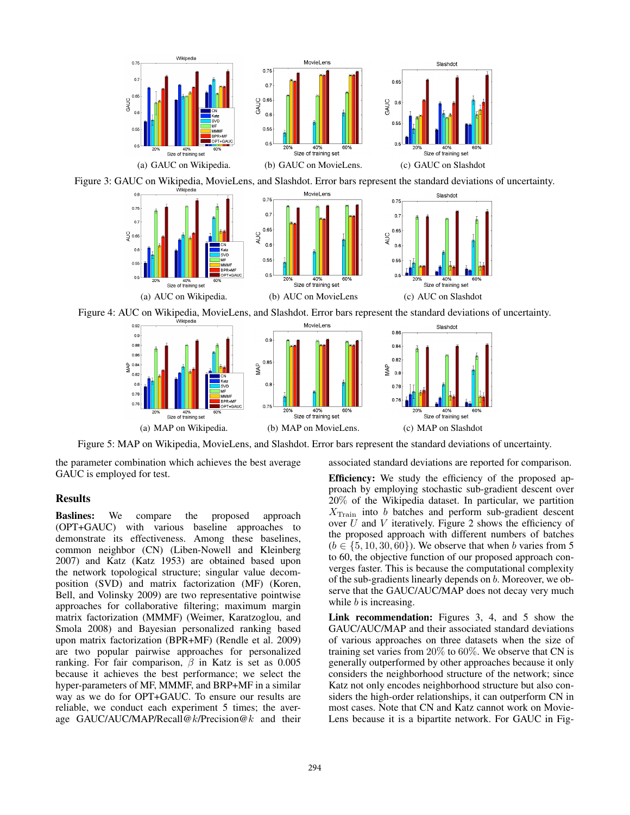

Figure 3: GAUC on Wikipedia, MovieLens, and Slashdot. Error bars represent the standard deviations of uncertainty.



Figure 4: AUC on Wikipedia, MovieLens, and Slashdot. Error bars represent the standard deviations of uncertainty.



Figure 5: MAP on Wikipedia, MovieLens, and Slashdot. Error bars represent the standard deviations of uncertainty.

the parameter combination which achieves the best average GAUC is employed for test.

# Results

Baslines: We compare the proposed approach (OPT+GAUC) with various baseline approaches to demonstrate its effectiveness. Among these baselines, common neighbor (CN) (Liben-Nowell and Kleinberg 2007) and Katz (Katz 1953) are obtained based upon the network topological structure; singular value decomposition (SVD) and matrix factorization (MF) (Koren, Bell, and Volinsky 2009) are two representative pointwise approaches for collaborative filtering; maximum margin matrix factorization (MMMF) (Weimer, Karatzoglou, and Smola 2008) and Bayesian personalized ranking based upon matrix factorization (BPR+MF) (Rendle et al. 2009) are two popular pairwise approaches for personalized ranking. For fair comparison,  $\beta$  in Katz is set as 0.005 because it achieves the best performance; we select the hyper-parameters of MF, MMMF, and BRP+MF in a similar way as we do for OPT+GAUC. To ensure our results are reliable, we conduct each experiment 5 times; the average GAUC/AUC/MAP/Recall@k/Precision@k and their

Efficiency: We study the efficiency of the proposed approach by employing stochastic sub-gradient descent over 20% of the Wikipedia dataset. In particular, we partition  $X_{\text{Train}}$  into b batches and perform sub-gradient descent over  $U$  and  $V$  iteratively. Figure 2 shows the efficiency of the proposed approach with different numbers of batches  $(b \in \{5, 10, 30, 60\})$ . We observe that when b varies from 5 to 60, the objective function of our proposed approach converges faster. This is because the computational complexity of the sub-gradients linearly depends on b. Moreover, we observe that the GAUC/AUC/MAP does not decay very much while  $b$  is increasing.

associated standard deviations are reported for comparison.

Link recommendation: Figures 3, 4, and 5 show the GAUC/AUC/MAP and their associated standard deviations of various approaches on three datasets when the size of training set varies from 20% to 60%. We observe that CN is generally outperformed by other approaches because it only considers the neighborhood structure of the network; since Katz not only encodes neighborhood structure but also considers the high-order relationships, it can outperform CN in most cases. Note that CN and Katz cannot work on Movie-Lens because it is a bipartite network. For GAUC in Fig-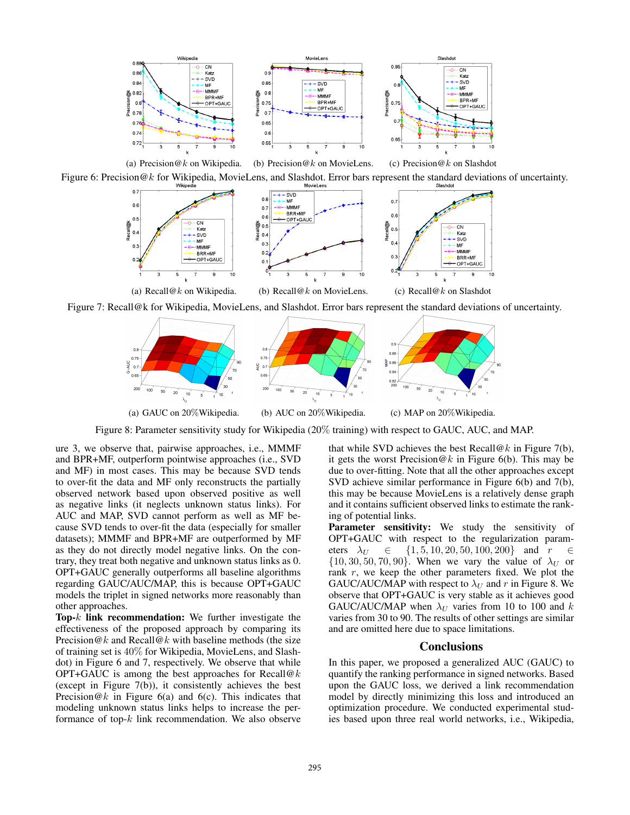

Figure 6: Precision  $@k$  for Wikipedia, MovieLens, and Slashdot. Error bars represent the standard deviations of uncertainty.



Figure 7: Recall@k for Wikipedia, MovieLens, and Slashdot. Error bars represent the standard deviations of uncertainty.



Figure 8: Parameter sensitivity study for Wikipedia (20% training) with respect to GAUC, AUC, and MAP.

ure 3, we observe that, pairwise approaches, i.e., MMMF and BPR+MF, outperform pointwise approaches (i.e., SVD and MF) in most cases. This may be because SVD tends to over-fit the data and MF only reconstructs the partially observed network based upon observed positive as well as negative links (it neglects unknown status links). For AUC and MAP, SVD cannot perform as well as MF because SVD tends to over-fit the data (especially for smaller datasets); MMMF and BPR+MF are outperformed by MF as they do not directly model negative links. On the contrary, they treat both negative and unknown status links as 0. OPT+GAUC generally outperforms all baseline algorithms regarding GAUC/AUC/MAP, this is because OPT+GAUC models the triplet in signed networks more reasonably than other approaches.

Top-k link recommendation: We further investigate the effectiveness of the proposed approach by comparing its Precision  $@k$  and Recall $@k$  with baseline methods (the size of training set is 40% for Wikipedia, MovieLens, and Slashdot) in Figure 6 and 7, respectively. We observe that while OPT+GAUC is among the best approaches for Recall@k (except in Figure 7(b)), it consistently achieves the best Precision  $@k$  in Figure 6(a) and 6(c). This indicates that modeling unknown status links helps to increase the performance of top- $k$  link recommendation. We also observe

that while SVD achieves the best Recall@k in Figure 7(b), it gets the worst Precision  $@k$  in Figure 6(b). This may be due to over-fitting. Note that all the other approaches except SVD achieve similar performance in Figure 6(b) and 7(b), this may be because MovieLens is a relatively dense graph and it contains sufficient observed links to estimate the ranking of potential links.

Parameter sensitivity: We study the sensitivity of OPT+GAUC with respect to the regularization parameters  $\lambda_U \in \{1, 5, 10, 20, 50, 100, 200\}$  and  $r \in$  $\{10, 30, 50, 70, 90\}$ . When we vary the value of  $\lambda_U$  or rank  $r$ , we keep the other parameters fixed. We plot the GAUC/AUC/MAP with respect to  $\lambda_U$  and r in Figure 8. We observe that OPT+GAUC is very stable as it achieves good GAUC/AUC/MAP when  $\lambda_U$  varies from 10 to 100 and k varies from 30 to 90. The results of other settings are similar and are omitted here due to space limitations.

#### **Conclusions**

In this paper, we proposed a generalized AUC (GAUC) to quantify the ranking performance in signed networks. Based upon the GAUC loss, we derived a link recommendation model by directly minimizing this loss and introduced an optimization procedure. We conducted experimental studies based upon three real world networks, i.e., Wikipedia,